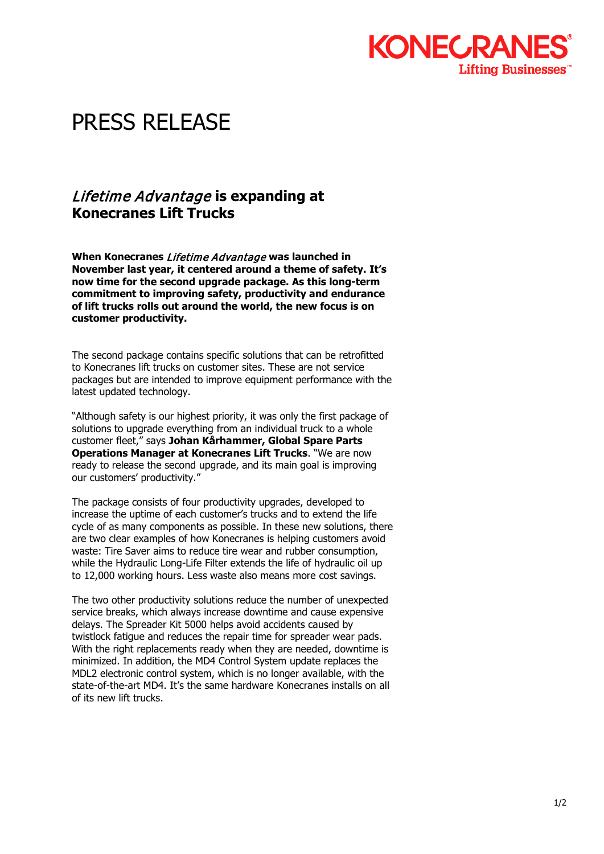

## PRESS RELEASE

## Lifetime Advantage **is expanding at Konecranes Lift Trucks**

**When Konecranes** Lifetime Advantage **was launched in November last year, it centered around a theme of safety. It's now time for the second upgrade package. As this long-term commitment to improving safety, productivity and endurance of lift trucks rolls out around the world, the new focus is on customer productivity.**

The second package contains specific solutions that can be retrofitted to Konecranes lift trucks on customer sites. These are not service packages but are intended to improve equipment performance with the latest updated technology.

"Although safety is our highest priority, it was only the first package of solutions to upgrade everything from an individual truck to a whole customer fleet," says **Johan Kårhammer, Global Spare Parts Operations Manager at Konecranes Lift Trucks**. "We are now ready to release the second upgrade, and its main goal is improving our customers' productivity."

The package consists of four productivity upgrades, developed to increase the uptime of each customer's trucks and to extend the life cycle of as many components as possible. In these new solutions, there are two clear examples of how Konecranes is helping customers avoid waste: Tire Saver aims to reduce tire wear and rubber consumption, while the Hydraulic Long-Life Filter extends the life of hydraulic oil up to 12,000 working hours. Less waste also means more cost savings.

The two other productivity solutions reduce the number of unexpected service breaks, which always increase downtime and cause expensive delays. The Spreader Kit 5000 helps avoid accidents caused by twistlock fatigue and reduces the repair time for spreader wear pads. With the right replacements ready when they are needed, downtime is minimized. In addition, the MD4 Control System update replaces the MDL2 electronic control system, which is no longer available, with the state-of-the-art MD4. It's the same hardware Konecranes installs on all of its new lift trucks.